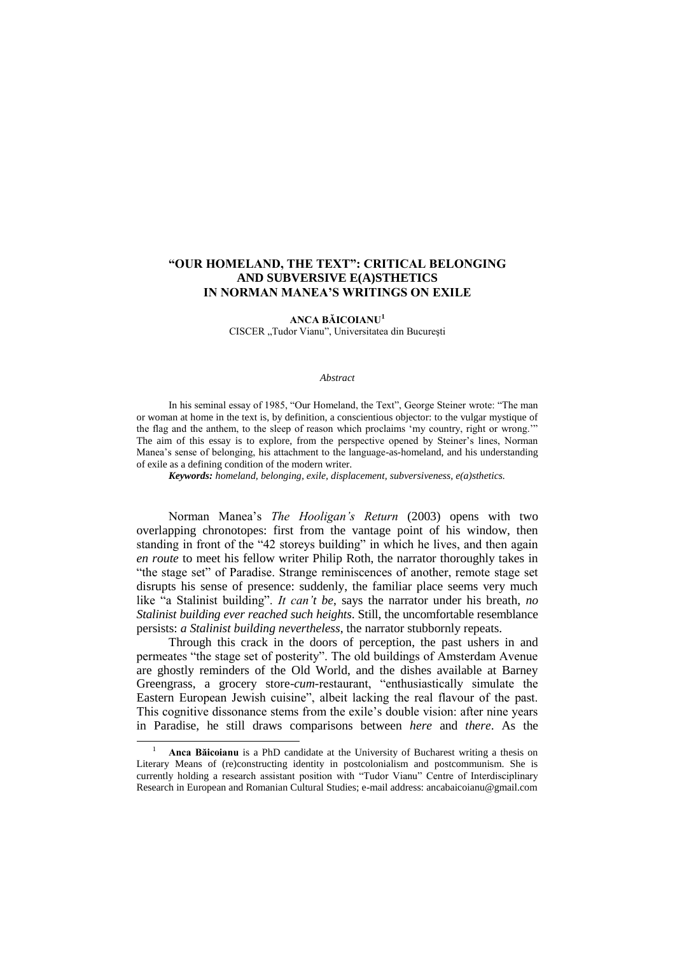## **"OUR HOMELAND, THE TEXT": CRITICAL BELONGING AND SUBVERSIVE E(A)STHETICS IN NORMAN MANEA'S WRITINGS ON EXILE**

**ANCA BĂICOIANU<sup>1</sup>**

CISCER "Tudor Vianu", Universitatea din București

## *Abstract*

In his seminal essay of 1985, "Our Homeland, the Text", George Steiner wrote: "The man or woman at home in the text is, by definition, a conscientious objector: to the vulgar mystique of the flag and the anthem, to the sleep of reason which proclaims "my country, right or wrong."" The aim of this essay is to explore, from the perspective opened by Steiner's lines, Norman Manea"s sense of belonging, his attachment to the language-as-homeland, and his understanding of exile as a defining condition of the modern writer.

*Keywords: homeland, belonging, exile, displacement, subversiveness, e(a)sthetics.*

Norman Manea"s *The Hooligan"s Return* (2003) opens with two overlapping chronotopes: first from the vantage point of his window, then standing in front of the "42 storeys building" in which he lives, and then again *en route* to meet his fellow writer Philip Roth, the narrator thoroughly takes in "the stage set" of Paradise. Strange reminiscences of another, remote stage set disrupts his sense of presence: suddenly, the familiar place seems very much like "a Stalinist building". *It can't be*, says the narrator under his breath, *no Stalinist building ever reached such heights*. Still, the uncomfortable resemblance persists: *a Stalinist building nevertheless*, the narrator stubbornly repeats.

Through this crack in the doors of perception, the past ushers in and permeates "the stage set of posterity". The old buildings of Amsterdam Avenue are ghostly reminders of the Old World, and the dishes available at Barney Greengrass, a grocery store-*cum-*restaurant, "enthusiastically simulate the Eastern European Jewish cuisine", albeit lacking the real flavour of the past. This cognitive dissonance stems from the exile"s double vision: after nine years in Paradise, he still draws comparisons between *here* and *there*. As the

 $\overline{a}$ 

<sup>1</sup> **Anca Băicoianu** is a PhD candidate at the University of Bucharest writing a thesis on Literary Means of (re)constructing identity in postcolonialism and postcommunism. She is currently holding a research assistant position with "Tudor Vianu" Centre of Interdisciplinary Research in European and Romanian Cultural Studies; e-mail address: [ancabaicoianu@gmail.com](mailto:ancabaicoianu@gmail.com)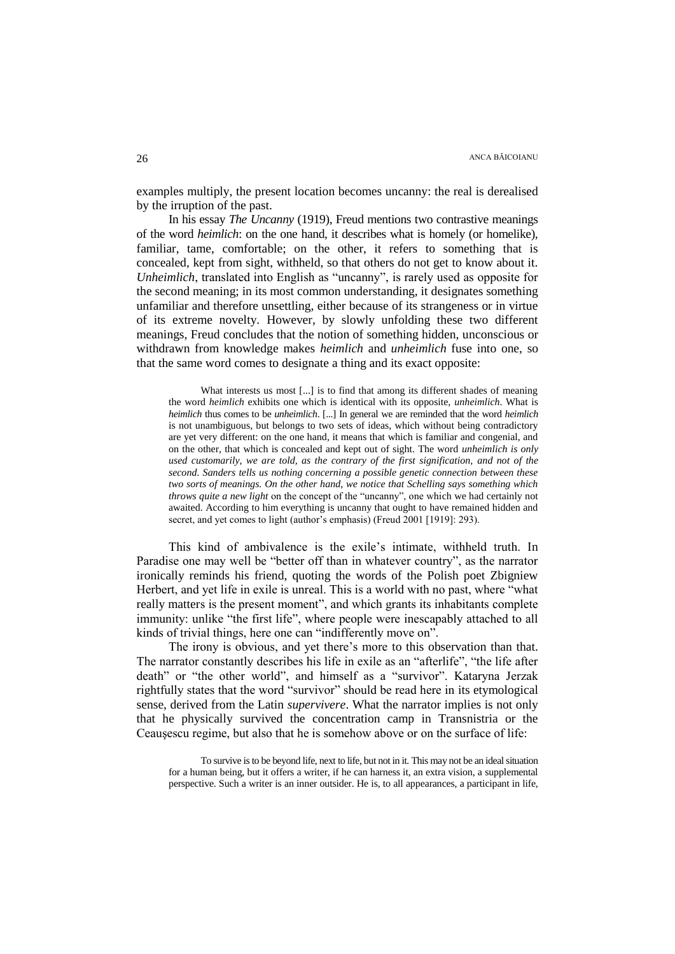examples multiply, the present location becomes uncanny: the real is derealised by the irruption of the past.

In his essay *The Uncanny* (1919), Freud mentions two contrastive meanings of the word *heimlich*: on the one hand, it describes what is homely (or homelike), familiar, tame, comfortable; on the other, it refers to something that is concealed, kept from sight, withheld, so that others do not get to know about it. *Unheimlich*, translated into English as "uncanny", is rarely used as opposite for the second meaning; in its most common understanding, it designates something unfamiliar and therefore unsettling, either because of its strangeness or in virtue of its extreme novelty. However, by slowly unfolding these two different meanings, Freud concludes that the notion of something hidden, unconscious or withdrawn from knowledge makes *heimlich* and *unheimlich* fuse into one, so that the same word comes to designate a thing and its exact opposite:

What interests us most [...] is to find that among its different shades of meaning the word *heimlich* exhibits one which is identical with its opposite, *unheimlich*. What is *heimlich* thus comes to be *unheimlich*. [...] In general we are reminded that the word *heimlich* is not unambiguous, but belongs to two sets of ideas, which without being contradictory are yet very different: on the one hand, it means that which is familiar and congenial, and on the other, that which is concealed and kept out of sight. The word *unheimlich is only used customarily, we are told, as the contrary of the first signification, and not of the second. Sanders tells us nothing concerning a possible genetic connection between these two sorts of meanings. On the other hand, we notice that Schelling says something which throws quite a new light* on the concept of the "uncanny", one which we had certainly not awaited. According to him everything is uncanny that ought to have remained hidden and secret, and yet comes to light (author's emphasis) (Freud 2001 [1919]: 293).

This kind of ambivalence is the exile"s intimate, withheld truth. In Paradise one may well be "better off than in whatever country", as the narrator ironically reminds his friend, quoting the words of the Polish poet Zbigniew Herbert, and yet life in exile is unreal. This is a world with no past, where "what really matters is the present moment", and which grants its inhabitants complete immunity: unlike "the first life", where people were inescapably attached to all kinds of trivial things, here one can "indifferently move on".

The irony is obvious, and yet there"s more to this observation than that. The narrator constantly describes his life in exile as an "afterlife", "the life after death" or "the other world", and himself as a "survivor". Kataryna Jerzak rightfully states that the word "survivor" should be read here in its etymological sense, derived from the Latin *supervivere*. What the narrator implies is not only that he physically survived the concentration camp in Transnistria or the Ceauşescu regime, but also that he is somehow above or on the surface of life:

To survive is to be beyond life, next to life, but not in it. This may not be an ideal situation for a human being, but it offers a writer, if he can harness it, an extra vision, a supplemental perspective. Such a writer is an inner outsider. He is, to all appearances, a participant in life,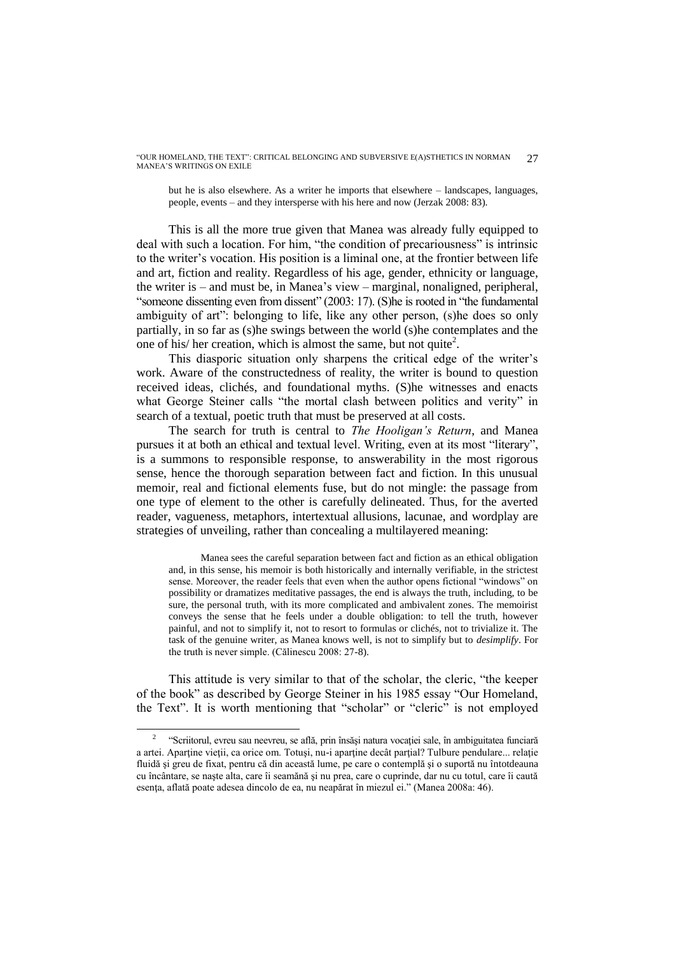"OUR HOMELAND, THE TEXT": CRITICAL BELONGING AND SUBVERSIVE E(A)STHETICS IN NORMAN MANEA"S WRITINGS ON EXILE 27

but he is also elsewhere. As a writer he imports that elsewhere – landscapes, languages, people, events – and they intersperse with his here and now (Jerzak 2008: 83).

This is all the more true given that Manea was already fully equipped to deal with such a location. For him, "the condition of precariousness" is intrinsic to the writer"s vocation. His position is a liminal one, at the frontier between life and art, fiction and reality. Regardless of his age, gender, ethnicity or language, the writer is – and must be, in Manea"s view – marginal, nonaligned, peripheral, "someone dissenting even from dissent" (2003: 17). (S)he is rooted in "the fundamental ambiguity of art": belonging to life, like any other person, (s)he does so only partially, in so far as (s)he swings between the world (s)he contemplates and the one of his/ her creation, which is almost the same, but not quite<sup>2</sup>.

This diasporic situation only sharpens the critical edge of the writer"s work. Aware of the constructedness of reality, the writer is bound to question received ideas, clichés, and foundational myths. (S)he witnesses and enacts what George Steiner calls "the mortal clash between politics and verity" in search of a textual, poetic truth that must be preserved at all costs.

The search for truth is central to *The Hooligan"s Return*, and Manea pursues it at both an ethical and textual level. Writing, even at its most "literary", is a summons to responsible response, to answerability in the most rigorous sense, hence the thorough separation between fact and fiction. In this unusual memoir, real and fictional elements fuse, but do not mingle: the passage from one type of element to the other is carefully delineated. Thus, for the averted reader, vagueness, metaphors, intertextual allusions, lacunae, and wordplay are strategies of unveiling, rather than concealing a multilayered meaning:

Manea sees the careful separation between fact and fiction as an ethical obligation and, in this sense, his memoir is both historically and internally verifiable, in the strictest sense. Moreover, the reader feels that even when the author opens fictional "windows" on possibility or dramatizes meditative passages, the end is always the truth, including, to be sure, the personal truth, with its more complicated and ambivalent zones. The memoirist conveys the sense that he feels under a double obligation: to tell the truth, however painful, and not to simplify it, not to resort to formulas or clichés, not to trivialize it. The task of the genuine writer, as Manea knows well, is not to simplify but to *desimplify*. For the truth is never simple. (Călinescu 2008: 27-8).

This attitude is very similar to that of the scholar, the cleric, "the keeper of the book" as described by George Steiner in his 1985 essay "Our Homeland, the Text". It is worth mentioning that "scholar" or "cleric" is not employed

 $\overline{a}$ 

<sup>2</sup> "Scriitorul, evreu sau neevreu, se află, prin însăși natura vocației sale, în ambiguitatea funciară a artei. Aparţine vieţii, ca orice om. Totuşi, nu-i aparţine decât parţial? Tulbure pendulare... relaţie fluidă şi greu de fixat, pentru că din această lume, pe care o contemplă şi o suportă nu întotdeauna cu încântare, se naşte alta, care îi seamănă şi nu prea, care o cuprinde, dar nu cu totul, care îi caută esenţa, aflată poate adesea dincolo de ea, nu neapărat în miezul ei." (Manea 2008a: 46).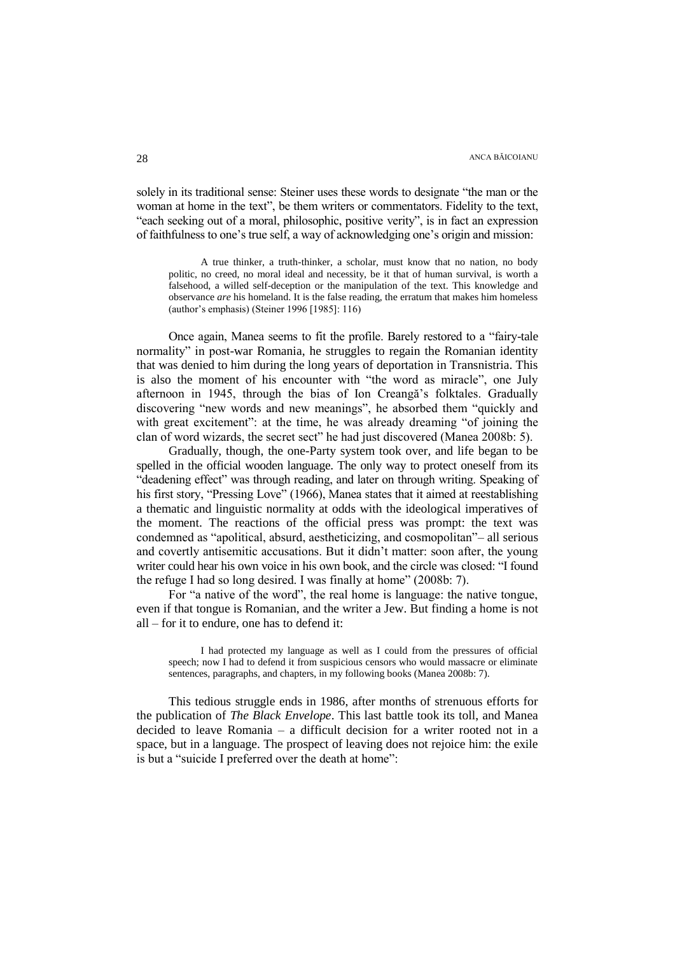solely in its traditional sense: Steiner uses these words to designate "the man or the woman at home in the text", be them writers or commentators. Fidelity to the text, "each seeking out of a moral, philosophic, positive verity", is in fact an expression of faithfulness to one"s true self, a way of acknowledging one"s origin and mission:

A true thinker, a truth-thinker, a scholar, must know that no nation, no body politic, no creed, no moral ideal and necessity, be it that of human survival, is worth a falsehood, a willed self-deception or the manipulation of the text. This knowledge and observance *are* his homeland. It is the false reading, the erratum that makes him homeless (author"s emphasis) (Steiner 1996 [1985]: 116)

Once again, Manea seems to fit the profile. Barely restored to a "fairy-tale normality" in post-war Romania, he struggles to regain the Romanian identity that was denied to him during the long years of deportation in Transnistria. This is also the moment of his encounter with "the word as miracle", one July afternoon in 1945, through the bias of Ion Creangă"s folktales. Gradually discovering "new words and new meanings", he absorbed them "quickly and with great excitement": at the time, he was already dreaming "of joining the clan of word wizards, the secret sect" he had just discovered (Manea 2008b: 5).

Gradually, though, the one-Party system took over, and life began to be spelled in the official wooden language. The only way to protect oneself from its "deadening effect" was through reading, and later on through writing. Speaking of his first story, "Pressing Love" (1966), Manea states that it aimed at reestablishing a thematic and linguistic normality at odds with the ideological imperatives of the moment. The reactions of the official press was prompt: the text was condemned as "apolitical, absurd, aestheticizing, and cosmopolitan"– all serious and covertly antisemitic accusations. But it didn"t matter: soon after, the young writer could hear his own voice in his own book, and the circle was closed: "I found the refuge I had so long desired. I was finally at home" (2008b: 7).

For "a native of the word", the real home is language: the native tongue, even if that tongue is Romanian, and the writer a Jew. But finding a home is not all – for it to endure, one has to defend it:

I had protected my language as well as I could from the pressures of official speech; now I had to defend it from suspicious censors who would massacre or eliminate sentences, paragraphs, and chapters, in my following books (Manea 2008b: 7).

This tedious struggle ends in 1986, after months of strenuous efforts for the publication of *The Black Envelope*. This last battle took its toll, and Manea decided to leave Romania – a difficult decision for a writer rooted not in a space, but in a language. The prospect of leaving does not rejoice him: the exile is but a "suicide I preferred over the death at home":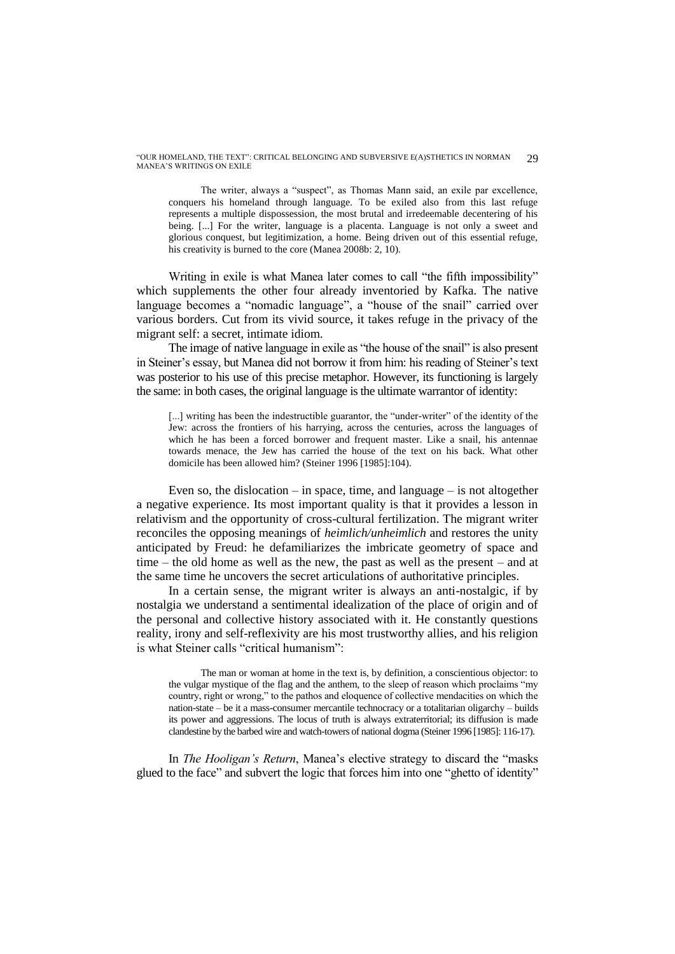"OUR HOMELAND, THE TEXT": CRITICAL BELONGING AND SUBVERSIVE E(A)STHETICS IN NORMAN MANEA"S WRITINGS ON EXILE 29

The writer, always a "suspect", as Thomas Mann said, an exile par excellence, conquers his homeland through language. To be exiled also from this last refuge represents a multiple dispossession, the most brutal and irredeemable decentering of his being. [...] For the writer, language is a placenta. Language is not only a sweet and glorious conquest, but legitimization, a home. Being driven out of this essential refuge, his creativity is burned to the core (Manea 2008b: 2, 10).

Writing in exile is what Manea later comes to call "the fifth impossibility" which supplements the other four already inventoried by Kafka. The native language becomes a "nomadic language", a "house of the snail" carried over various borders. Cut from its vivid source, it takes refuge in the privacy of the migrant self: a secret, intimate idiom.

The image of native language in exile as "the house of the snail" is also present in Steiner"s essay, but Manea did not borrow it from him: his reading of Steiner"s text was posterior to his use of this precise metaphor. However, its functioning is largely the same: in both cases, the original language is the ultimate warrantor of identity:

[...] writing has been the indestructible guarantor, the "under-writer" of the identity of the Jew: across the frontiers of his harrying, across the centuries, across the languages of which he has been a forced borrower and frequent master. Like a snail, his antennae towards menace, the Jew has carried the house of the text on his back. What other domicile has been allowed him? (Steiner 1996 [1985]:104).

Even so, the dislocation – in space, time, and language – is not altogether a negative experience. Its most important quality is that it provides a lesson in relativism and the opportunity of cross-cultural fertilization. The migrant writer reconciles the opposing meanings of *heimlich/unheimlich* and restores the unity anticipated by Freud: he defamiliarizes the imbricate geometry of space and time – the old home as well as the new, the past as well as the present – and at the same time he uncovers the secret articulations of authoritative principles.

In a certain sense, the migrant writer is always an anti-nostalgic, if by nostalgia we understand a sentimental idealization of the place of origin and of the personal and collective history associated with it. He constantly questions reality, irony and self-reflexivity are his most trustworthy allies, and his religion is what Steiner calls "critical humanism":

The man or woman at home in the text is, by definition, a conscientious objector: to the vulgar mystique of the flag and the anthem, to the sleep of reason which proclaims "my country, right or wrong," to the pathos and eloquence of collective mendacities on which the nation-state – be it a mass-consumer mercantile technocracy or a totalitarian oligarchy – builds its power and aggressions. The locus of truth is always extraterritorial; its diffusion is made clandestine by the barbed wire and watch-towers of national dogma (Steiner 1996 [1985]: 116-17).

In *The Hooligan's Return*, Manea's elective strategy to discard the "masks" glued to the face" and subvert the logic that forces him into one "ghetto of identity"